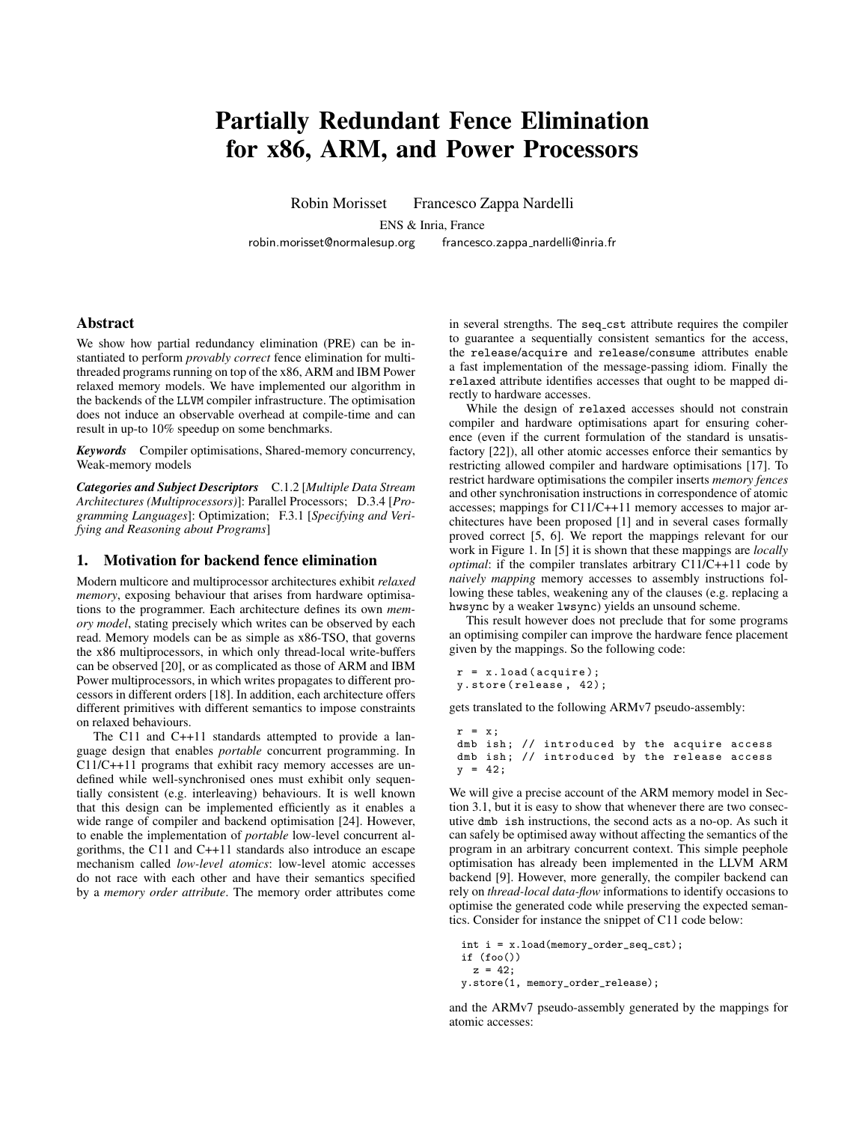# Partially Redundant Fence Elimination for x86, ARM, and Power Processors

Robin Morisset Francesco Zappa Nardelli

ENS & Inria, France

robin.morisset@normalesup.org francesco.zappa\_nardelli@inria.fr

Abstract

We show how partial redundancy elimination (PRE) can be instantiated to perform *provably correct* fence elimination for multithreaded programs running on top of the x86, ARM and IBM Power relaxed memory models. We have implemented our algorithm in the backends of the LLVM compiler infrastructure. The optimisation does not induce an observable overhead at compile-time and can result in up-to 10% speedup on some benchmarks.

*Keywords* Compiler optimisations, Shared-memory concurrency, Weak-memory models

*Categories and Subject Descriptors* C.1.2 [*Multiple Data Stream Architectures (Multiprocessors)*]: Parallel Processors; D.3.4 [*Programming Languages*]: Optimization; F.3.1 [*Specifying and Verifying and Reasoning about Programs*]

# 1. Motivation for backend fence elimination

Modern multicore and multiprocessor architectures exhibit *relaxed memory*, exposing behaviour that arises from hardware optimisations to the programmer. Each architecture defines its own *memory model*, stating precisely which writes can be observed by each read. Memory models can be as simple as x86-TSO, that governs the x86 multiprocessors, in which only thread-local write-buffers can be observed [20], or as complicated as those of ARM and IBM Power multiprocessors, in which writes propagates to different processors in different orders [18]. In addition, each architecture offers different primitives with different semantics to impose constraints on relaxed behaviours.

The C11 and C++11 standards attempted to provide a language design that enables *portable* concurrent programming. In C11/C++11 programs that exhibit racy memory accesses are undefined while well-synchronised ones must exhibit only sequentially consistent (e.g. interleaving) behaviours. It is well known that this design can be implemented efficiently as it enables a wide range of compiler and backend optimisation [24]. However, to enable the implementation of *portable* low-level concurrent algorithms, the C11 and C++11 standards also introduce an escape mechanism called *low-level atomics*: low-level atomic accesses do not race with each other and have their semantics specified by a *memory order attribute*. The memory order attributes come in several strengths. The seq\_cst attribute requires the compiler to guarantee a sequentially consistent semantics for the access, the release/acquire and release/consume attributes enable a fast implementation of the message-passing idiom. Finally the relaxed attribute identifies accesses that ought to be mapped directly to hardware accesses.

While the design of relaxed accesses should not constrain compiler and hardware optimisations apart for ensuring coherence (even if the current formulation of the standard is unsatisfactory [22]), all other atomic accesses enforce their semantics by restricting allowed compiler and hardware optimisations [17]. To restrict hardware optimisations the compiler inserts *memory fences* and other synchronisation instructions in correspondence of atomic accesses; mappings for C11/C++11 memory accesses to major architectures have been proposed [1] and in several cases formally proved correct [5, 6]. We report the mappings relevant for our work in Figure 1. In [5] it is shown that these mappings are *locally optimal*: if the compiler translates arbitrary C11/C++11 code by *naively mapping* memory accesses to assembly instructions following these tables, weakening any of the clauses (e.g. replacing a hwsync by a weaker lwsync) yields an unsound scheme.

This result however does not preclude that for some programs an optimising compiler can improve the hardware fence placement given by the mappings. So the following code:

```
r = x. load (acquire);
y. store ( release , 42);
```
gets translated to the following ARMv7 pseudo-assembly:

```
r = x:
dmb ish; // introduced by the acquire access
dmb ish; // introduced by the release access
y = 42;
```
We will give a precise account of the ARM memory model in Section 3.1, but it is easy to show that whenever there are two consecutive dmb ish instructions, the second acts as a no-op. As such it can safely be optimised away without affecting the semantics of the program in an arbitrary concurrent context. This simple peephole optimisation has already been implemented in the LLVM ARM backend [9]. However, more generally, the compiler backend can rely on *thread-local data-flow* informations to identify occasions to optimise the generated code while preserving the expected semantics. Consider for instance the snippet of C11 code below:

```
int i = x.load(memory_order_seq_cst);
if (foo()z = 42:
y.store(1, memory_order_release);
```
and the ARMv7 pseudo-assembly generated by the mappings for atomic accesses: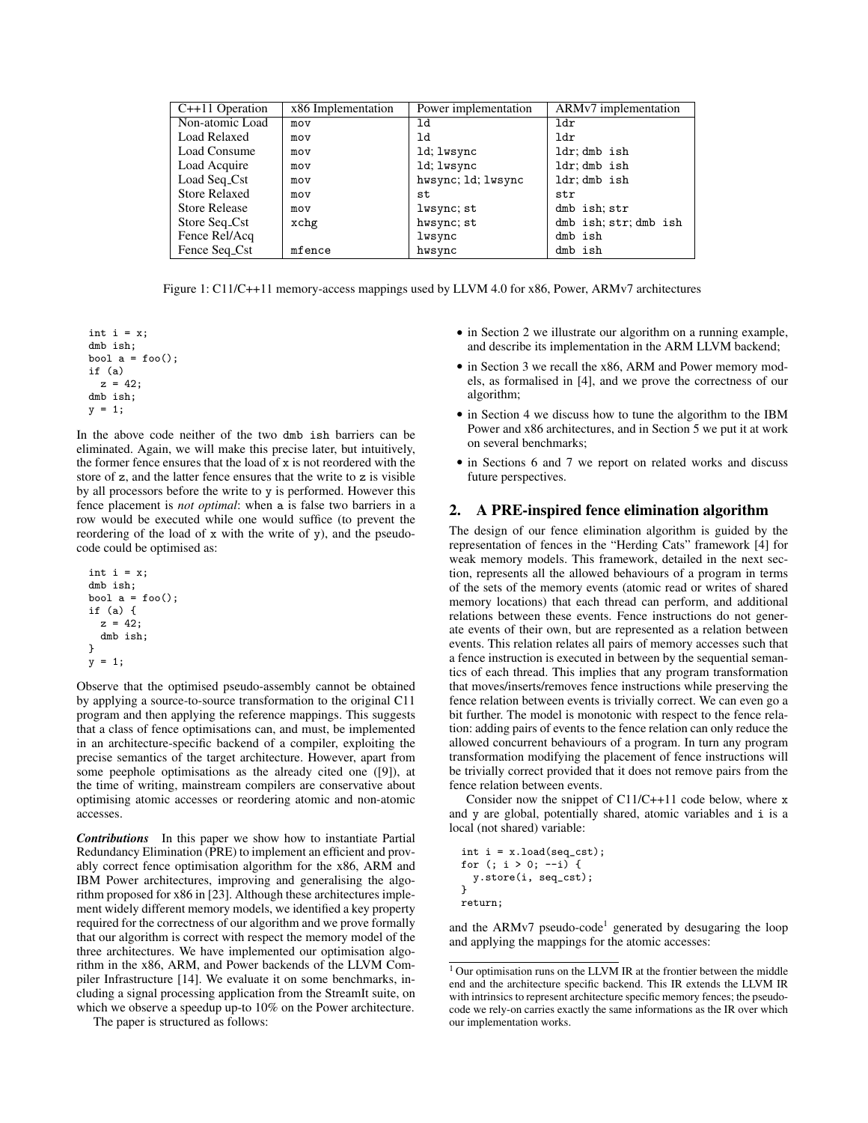| $C++11$ Operation    | x86 Implementation | Power implementation | ARMv7 implementation  |
|----------------------|--------------------|----------------------|-----------------------|
| Non-atomic Load      | mov                | ld                   | ldr                   |
| <b>Load Relaxed</b>  | mov                | ld                   | 1 <sub>dr</sub>       |
| Load Consume         | mov                | 1d; lwsync           | ldr; dmb ish          |
| Load Acquire         | mov                | 1d; lwsync           | ldr; dmb ish          |
| Load Seq_Cst         | mov                | hwsync; 1d; lwsync   | ldr; dmb ish          |
| <b>Store Relaxed</b> | mov                | st                   | str                   |
| <b>Store Release</b> | mov                | lwsync; st           | dmb ish; str          |
| Store Seq_Cst        | xchg               | hwsync; st           | dmb ish; str; dmb ish |
| Fence Rel/Acq        |                    | lwsync               | dmb ish               |
| Fence Seq_Cst        | mfence             | hwsync               | dmb ish               |

Figure 1: C11/C++11 memory-access mappings used by LLVM 4.0 for x86, Power, ARMv7 architectures

int  $i = x$ ; dmb ish; bool  $a = foo()$ ; if (a)  $z = 42;$ dmb ish;  $y = 1$ ;

In the above code neither of the two dmb ish barriers can be eliminated. Again, we will make this precise later, but intuitively, the former fence ensures that the load of x is not reordered with the store of z, and the latter fence ensures that the write to z is visible by all processors before the write to y is performed. However this fence placement is *not optimal*: when a is false two barriers in a row would be executed while one would suffice (to prevent the reordering of the load of x with the write of y), and the pseudocode could be optimised as:

```
int i = x:
dmb ish;
bool a = foo();
if (a) {
  z = 42;
  dmb ish;
}
y = 1;
```
Observe that the optimised pseudo-assembly cannot be obtained by applying a source-to-source transformation to the original C11 program and then applying the reference mappings. This suggests that a class of fence optimisations can, and must, be implemented in an architecture-specific backend of a compiler, exploiting the precise semantics of the target architecture. However, apart from some peephole optimisations as the already cited one ([9]), at the time of writing, mainstream compilers are conservative about optimising atomic accesses or reordering atomic and non-atomic accesses.

*Contributions* In this paper we show how to instantiate Partial Redundancy Elimination (PRE) to implement an efficient and provably correct fence optimisation algorithm for the x86, ARM and IBM Power architectures, improving and generalising the algorithm proposed for x86 in [23]. Although these architectures implement widely different memory models, we identified a key property required for the correctness of our algorithm and we prove formally that our algorithm is correct with respect the memory model of the three architectures. We have implemented our optimisation algorithm in the x86, ARM, and Power backends of the LLVM Compiler Infrastructure [14]. We evaluate it on some benchmarks, including a signal processing application from the StreamIt suite, on which we observe a speedup up-to 10% on the Power architecture.

- in Section 2 we illustrate our algorithm on a running example, and describe its implementation in the ARM LLVM backend;
- in Section 3 we recall the x86, ARM and Power memory models, as formalised in [4], and we prove the correctness of our algorithm;
- in Section 4 we discuss how to tune the algorithm to the IBM Power and x86 architectures, and in Section 5 we put it at work on several benchmarks;
- in Sections 6 and 7 we report on related works and discuss future perspectives.

## 2. A PRE-inspired fence elimination algorithm

The design of our fence elimination algorithm is guided by the representation of fences in the "Herding Cats" framework [4] for weak memory models. This framework, detailed in the next section, represents all the allowed behaviours of a program in terms of the sets of the memory events (atomic read or writes of shared memory locations) that each thread can perform, and additional relations between these events. Fence instructions do not generate events of their own, but are represented as a relation between events. This relation relates all pairs of memory accesses such that a fence instruction is executed in between by the sequential semantics of each thread. This implies that any program transformation that moves/inserts/removes fence instructions while preserving the fence relation between events is trivially correct. We can even go a bit further. The model is monotonic with respect to the fence relation: adding pairs of events to the fence relation can only reduce the allowed concurrent behaviours of a program. In turn any program transformation modifying the placement of fence instructions will be trivially correct provided that it does not remove pairs from the fence relation between events.

Consider now the snippet of C11/C++11 code below, where x and y are global, potentially shared, atomic variables and i is a local (not shared) variable:

int  $i = x.load(seq_cst);$ for (; i > 0; --i) { y.store(i, seq\_cst);  $\mathbf{I}$ return;

and the ARMv7 pseudo-code<sup>1</sup> generated by desugaring the loop and applying the mappings for the atomic accesses:

The paper is structured as follows:

<sup>&</sup>lt;sup>1</sup> Our optimisation runs on the LLVM IR at the frontier between the middle end and the architecture specific backend. This IR extends the LLVM IR with intrinsics to represent architecture specific memory fences; the pseudocode we rely-on carries exactly the same informations as the IR over which our implementation works.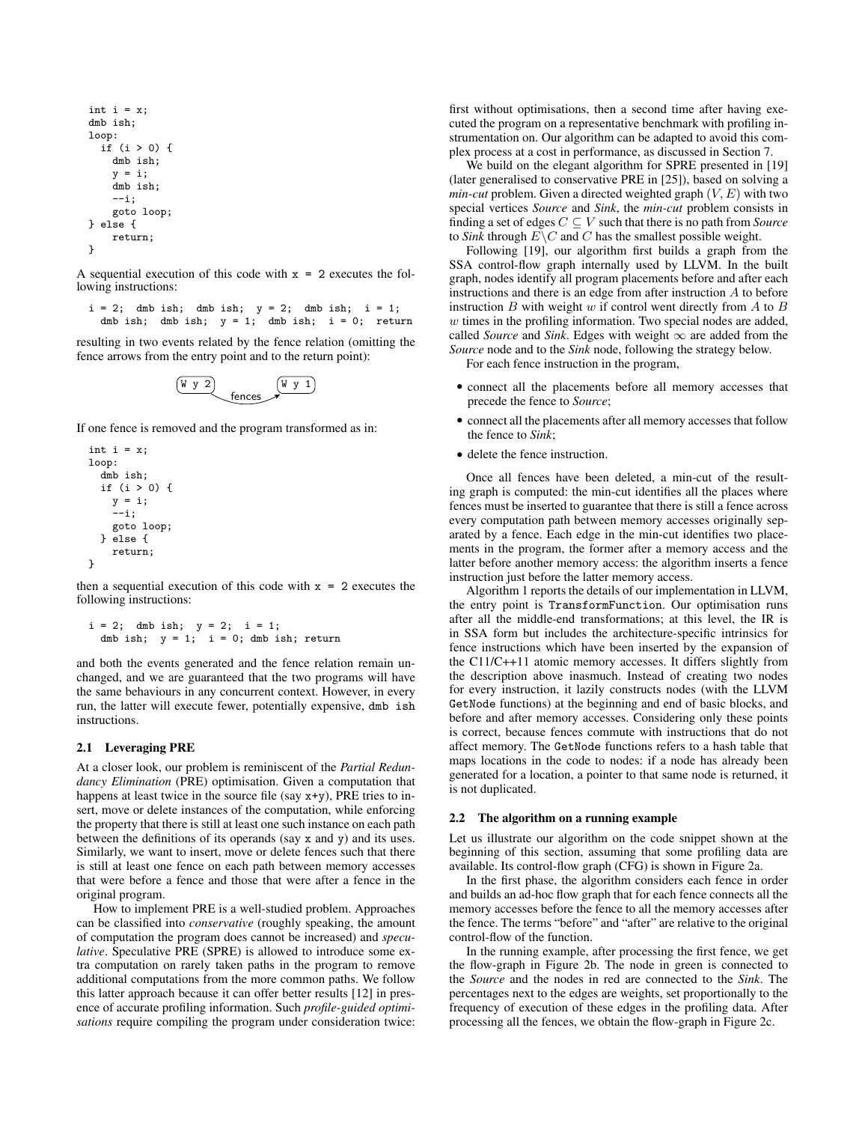```
int i = x;dmb ish;
loop:
  if (i > 0) {
    dmb ish;
    y = i;
    dmb ish;
    --i;
    goto loop;
} else {
    return;
}
```
A sequential execution of this code with  $x = 2$  executes the following instructions:

 $i = 2$ ; dmb ish; dmb ish;  $y = 2$ ; dmb ish;  $i = 1$ ; dmb ish; dmb ish;  $y = 1$ ; dmb ish;  $i = 0$ ; return

resulting in two events related by the fence relation (omitting the fence arrows from the entry point and to the return point):

$$
\begin{array}{c}\n\boxed{W \ y \ 2} \\
\end{array}\n\qquad\n\begin{array}{c}\n\boxed{W \ y \ 1}\n\end{array}
$$

If one fence is removed and the program transformed as in:

```
int i = x;
loop:
  dmb ish;
  if (i > 0) {
    y = i;
    --i;goto loop;
  } else {
    return;
}
```
then a sequential execution of this code with  $x = 2$  executes the following instructions:

```
i = 2; dmb ish; y = 2; i = 1;dmb ish; y = 1; i = 0; dmb ish; return
```
and both the events generated and the fence relation remain unchanged, and we are guaranteed that the two programs will have the same behaviours in any concurrent context. However, in every run, the latter will execute fewer, potentially expensive, dmb ish instructions.

# 2.1 Leveraging PRE

At a closer look, our problem is reminiscent of the *Partial Redundancy Elimination* (PRE) optimisation. Given a computation that happens at least twice in the source file (say  $x+y$ ), PRE tries to insert, move or delete instances of the computation, while enforcing the property that there is still at least one such instance on each path between the definitions of its operands (say x and y) and its uses. Similarly, we want to insert, move or delete fences such that there is still at least one fence on each path between memory accesses that were before a fence and those that were after a fence in the original program.

How to implement PRE is a well-studied problem. Approaches can be classified into *conservative* (roughly speaking, the amount of computation the program does cannot be increased) and *speculative*. Speculative PRE (SPRE) is allowed to introduce some extra computation on rarely taken paths in the program to remove additional computations from the more common paths. We follow this latter approach because it can offer better results [12] in presence of accurate profiling information. Such *profile-guided optimisations* require compiling the program under consideration twice: first without optimisations, then a second time after having executed the program on a representative benchmark with profiling instrumentation on. Our algorithm can be adapted to avoid this complex process at a cost in performance, as discussed in Section 7.

We build on the elegant algorithm for SPRE presented in [19] (later generalised to conservative PRE in [25]), based on solving a *min-cut* problem. Given a directed weighted graph  $(V, E)$  with two special vertices *Source* and *Sink*, the *min-cut* problem consists in finding a set of edges  $C \subseteq V$  such that there is no path from *Source* to *Sink* through  $E\setminus C$  and C has the smallest possible weight.

Following [19], our algorithm first builds a graph from the SSA control-flow graph internally used by LLVM. In the built graph, nodes identify all program placements before and after each instructions and there is an edge from after instruction A to before instruction  $B$  with weight  $w$  if control went directly from  $A$  to  $B$  $w$  times in the profiling information. Two special nodes are added, called *Source* and *Sink*. Edges with weight  $\infty$  are added from the *Source* node and to the *Sink* node, following the strategy below.

For each fence instruction in the program,

- connect all the placements before all memory accesses that precede the fence to *Source*;
- connect all the placements after all memory accesses that follow the fence to *Sink*;
- delete the fence instruction.

Once all fences have been deleted, a min-cut of the resulting graph is computed: the min-cut identifies all the places where fences must be inserted to guarantee that there is still a fence across every computation path between memory accesses originally separated by a fence. Each edge in the min-cut identifies two placements in the program, the former after a memory access and the latter before another memory access: the algorithm inserts a fence instruction just before the latter memory access.

Algorithm 1 reports the details of our implementation in LLVM, the entry point is TransformFunction. Our optimisation runs after all the middle-end transformations; at this level, the IR is in SSA form but includes the architecture-specific intrinsics for fence instructions which have been inserted by the expansion of the C11/C++11 atomic memory accesses. It differs slightly from the description above inasmuch. Instead of creating two nodes for every instruction, it lazily constructs nodes (with the LLVM GetNode functions) at the beginning and end of basic blocks, and before and after memory accesses. Considering only these points is correct, because fences commute with instructions that do not affect memory. The GetNode functions refers to a hash table that maps locations in the code to nodes: if a node has already been generated for a location, a pointer to that same node is returned, it is not duplicated.

#### 2.2 The algorithm on a running example

Let us illustrate our algorithm on the code snippet shown at the beginning of this section, assuming that some profiling data are available. Its control-flow graph (CFG) is shown in Figure 2a.

In the first phase, the algorithm considers each fence in order and builds an ad-hoc flow graph that for each fence connects all the memory accesses before the fence to all the memory accesses after the fence. The terms "before" and "after" are relative to the original control-flow of the function.

In the running example, after processing the first fence, we get the flow-graph in Figure 2b. The node in green is connected to the *Source* and the nodes in red are connected to the *Sink*. The percentages next to the edges are weights, set proportionally to the frequency of execution of these edges in the profiling data. After processing all the fences, we obtain the flow-graph in Figure 2c.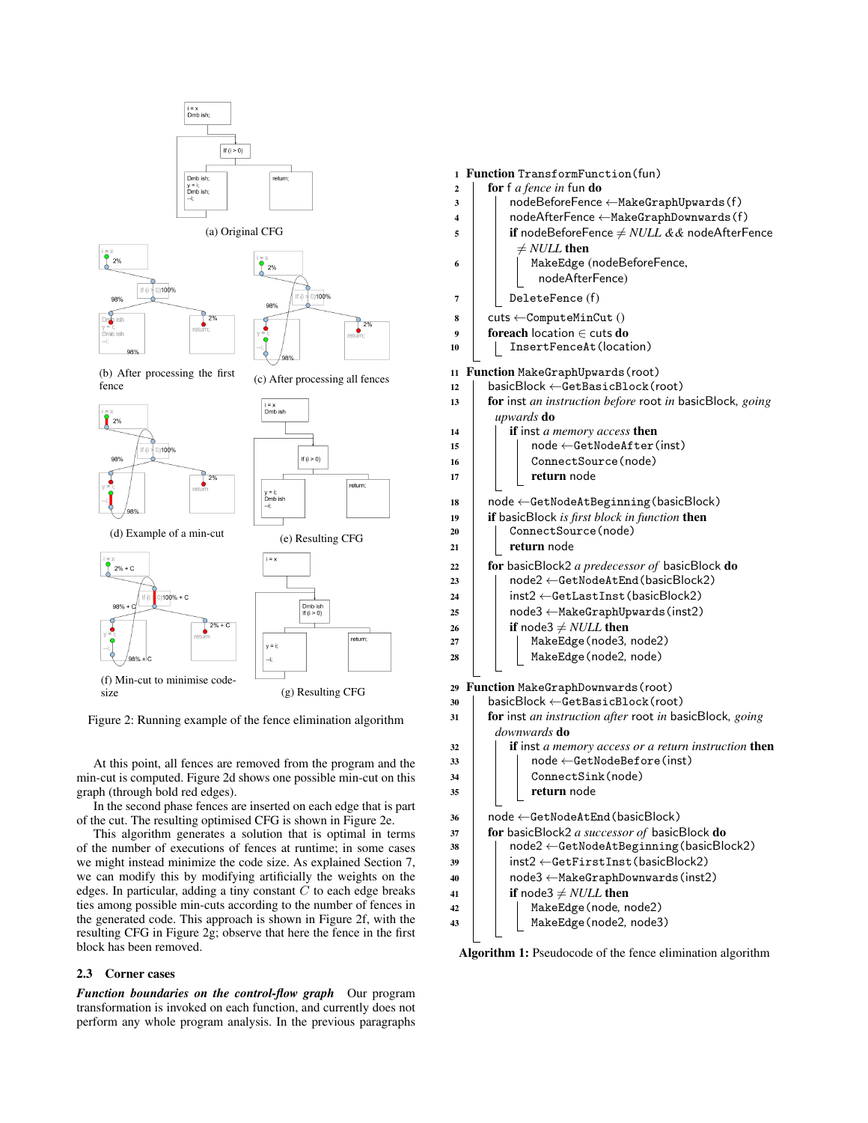

Figure 2: Running example of the fence elimination algorithm

At this point, all fences are removed from the program and the min-cut is computed. Figure 2d shows one possible min-cut on this graph (through bold red edges).

In the second phase fences are inserted on each edge that is part of the cut. The resulting optimised CFG is shown in Figure 2e.

This algorithm generates a solution that is optimal in terms of the number of executions of fences at runtime; in some cases we might instead minimize the code size. As explained Section 7, we can modify this by modifying artificially the weights on the edges. In particular, adding a tiny constant  $C$  to each edge breaks ties among possible min-cuts according to the number of fences in the generated code. This approach is shown in Figure 2f, with the resulting CFG in Figure 2g; observe that here the fence in the first block has been removed.

# 2.3 Corner cases

*Function boundaries on the control-flow graph* Our program transformation is invoked on each function, and currently does not perform any whole program analysis. In the previous paragraphs

| $\mathbf{1}$ | Function TransformFunction(fun)                                                        |
|--------------|----------------------------------------------------------------------------------------|
| 2            | for f <i>a fence in</i> fun do                                                         |
| 3            | nodeBeforeFence < MakeGraphUpwards(f)                                                  |
| 4            | nodeAfterFence < MakeGraphDownwards(f)                                                 |
| 5            | if nodeBeforeFence $\neq NULL \&\&$ nodeAfterFence                                     |
|              | $\neq NULL$ then                                                                       |
| 6            | MakeEdge (nodeBeforeFence,                                                             |
|              | nodeAfterFence)                                                                        |
| 7            | DeleteFence (f)                                                                        |
|              |                                                                                        |
| 8            | $cuts \leftarrow ComputeMinCut()$<br><b>foreach</b> location $\in$ cuts do             |
| 9<br>10      | InsertFenceAt(location)                                                                |
|              |                                                                                        |
| 11           | Function MakeGraphUpwards (root)                                                       |
| 12           | $\textsf{basicBlock} \leftarrow \textsf{GetBasicBlock}(\textsf{root})$                 |
| 13           | for inst an instruction before root in basicBlock, going                               |
|              | upwards <b>do</b>                                                                      |
| 14           | if inst a memory access then                                                           |
| 15           | node ←GetNodeAfter(inst)                                                               |
| 16           | ConnectSource(node)                                                                    |
| 17           | return node                                                                            |
| 18           | $\mathsf{node} \leftarrow \mathsf{GetNodeAtBeginning}(\mathsf{basicBlock})$            |
| 19           | if basicBlock is first block in function then                                          |
| 20           | ConnectSource(node)                                                                    |
| 21           | return node                                                                            |
| 22           | for basicBlock2 a predecessor of basicBlock do                                         |
| 23           | node2 ←GetNodeAtEnd(basicBlock2)                                                       |
| 24           | $inst2 \leftarrow GetLastInst$ (basicBlock2)                                           |
| 25           | node3 ← MakeGraphUpwards (inst2)                                                       |
| 26           | if node3 $\neq$ <i>NULL</i> then                                                       |
| 27           | MakeEdge (node3, node2)                                                                |
| 28           | MakeEdge (node2, node)                                                                 |
|              |                                                                                        |
| 29           | Function MakeGraphDownwards (root)                                                     |
| 30           | $\textsf{basicBlock} \leftarrow \textsf{GetBasicBlock}(\textsf{root})$                 |
| 31           | for inst an instruction after root in basicBlock, going                                |
|              | downwards <b>do</b>                                                                    |
| 32           | <b>if</b> inst a memory access or a return instruction <b>then</b>                     |
| 33           | node ←GetNodeBefore(inst)                                                              |
| 34           | ConnectSink(node)                                                                      |
| 35           | return node                                                                            |
|              |                                                                                        |
| 36           | $node \leftarrow GetNodeAtEnd(basicBlock)$                                             |
| 37           | for basicBlock2 a successor of basicBlock do<br>node2 ←GetNodeAtBeginning(basicBlock2) |
| 38           |                                                                                        |
| 39           | inst2 < GetFirstInst (basicBlock2)                                                     |
| 40           | $node3 \leftarrow MakeGraphDownwards(inst2)$                                           |
| 41           |                                                                                        |
|              | if node3 $\neq$ <i>NULL</i> then                                                       |
| 42<br>43     | MakeEdge (node, node2)<br>MakeEdge(node2, node3)                                       |

Algorithm 1: Pseudocode of the fence elimination algorithm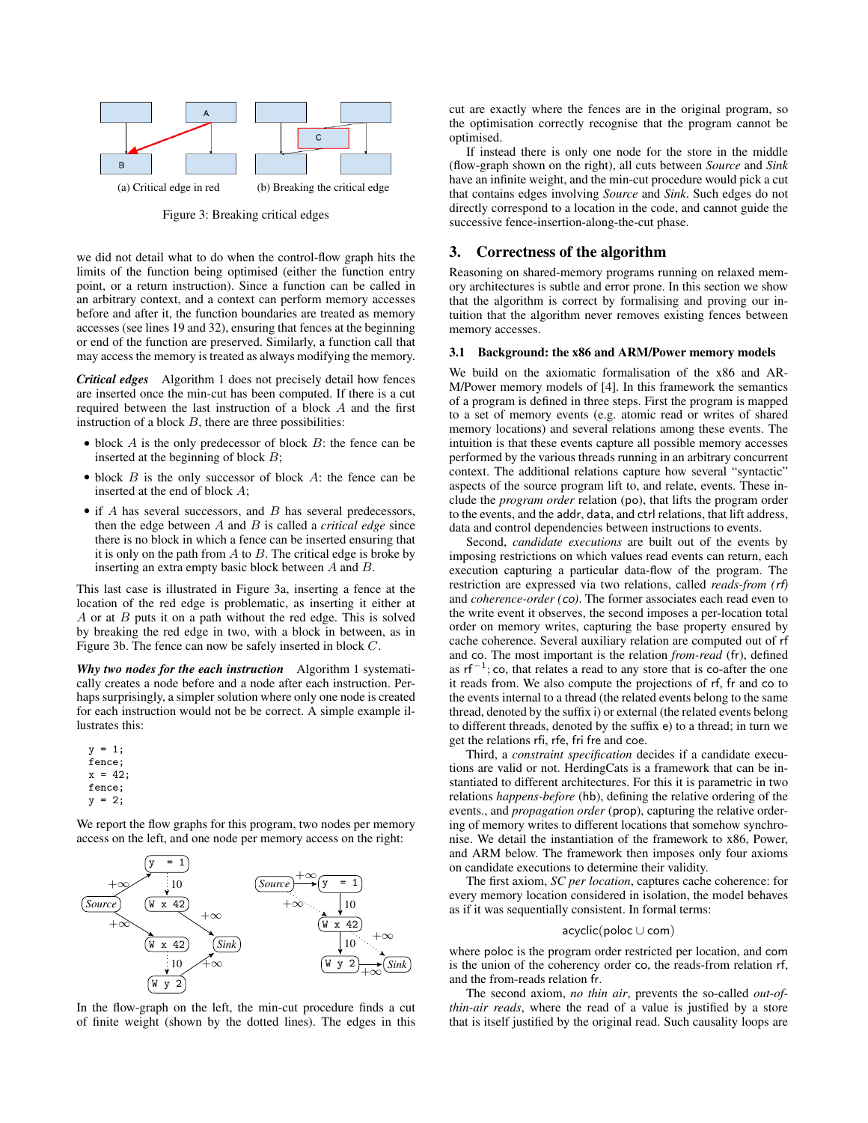

Figure 3: Breaking critical edges

we did not detail what to do when the control-flow graph hits the limits of the function being optimised (either the function entry point, or a return instruction). Since a function can be called in an arbitrary context, and a context can perform memory accesses before and after it, the function boundaries are treated as memory accesses (see lines 19 and 32), ensuring that fences at the beginning or end of the function are preserved. Similarly, a function call that may access the memory is treated as always modifying the memory.

*Critical edges* Algorithm 1 does not precisely detail how fences are inserted once the min-cut has been computed. If there is a cut required between the last instruction of a block A and the first instruction of a block  $B$ , there are three possibilities:

- $\bullet$  block A is the only predecessor of block B: the fence can be inserted at the beginning of block  $B$ ;
- $\bullet$  block  $B$  is the only successor of block  $A$ : the fence can be inserted at the end of block A;
- if  $A$  has several successors, and  $B$  has several predecessors, then the edge between A and B is called a *critical edge* since there is no block in which a fence can be inserted ensuring that it is only on the path from  $A$  to  $B$ . The critical edge is broke by inserting an extra empty basic block between A and B.

This last case is illustrated in Figure 3a, inserting a fence at the location of the red edge is problematic, as inserting it either at A or at  $B$  puts it on a path without the red edge. This is solved by breaking the red edge in two, with a block in between, as in Figure 3b. The fence can now be safely inserted in block C.

*Why two nodes for the each instruction* Algorithm 1 systematically creates a node before and a node after each instruction. Perhaps surprisingly, a simpler solution where only one node is created for each instruction would not be be correct. A simple example illustrates this:

 $y = 1;$ fence;  $x = 42$ ; fence;  $y = 2$ :

We report the flow graphs for this program, two nodes per memory access on the left, and one node per memory access on the right:



In the flow-graph on the left, the min-cut procedure finds a cut of finite weight (shown by the dotted lines). The edges in this

cut are exactly where the fences are in the original program, so the optimisation correctly recognise that the program cannot be optimised.

If instead there is only one node for the store in the middle (flow-graph shown on the right), all cuts between *Source* and *Sink* have an infinite weight, and the min-cut procedure would pick a cut that contains edges involving *Source* and *Sink*. Such edges do not directly correspond to a location in the code, and cannot guide the successive fence-insertion-along-the-cut phase.

# 3. Correctness of the algorithm

Reasoning on shared-memory programs running on relaxed memory architectures is subtle and error prone. In this section we show that the algorithm is correct by formalising and proving our intuition that the algorithm never removes existing fences between memory accesses.

### 3.1 Background: the x86 and ARM/Power memory models

We build on the axiomatic formalisation of the x86 and AR-M/Power memory models of [4]. In this framework the semantics of a program is defined in three steps. First the program is mapped to a set of memory events (e.g. atomic read or writes of shared memory locations) and several relations among these events. The intuition is that these events capture all possible memory accesses performed by the various threads running in an arbitrary concurrent context. The additional relations capture how several "syntactic" aspects of the source program lift to, and relate, events. These include the *program order* relation (po), that lifts the program order to the events, and the addr, data, and ctrl relations, that lift address, data and control dependencies between instructions to events.

Second, *candidate executions* are built out of the events by imposing restrictions on which values read events can return, each execution capturing a particular data-flow of the program. The restriction are expressed via two relations, called *reads-from (*rf*)* and *coherence-order (*co*)*. The former associates each read even to the write event it observes, the second imposes a per-location total order on memory writes, capturing the base property ensured by cache coherence. Several auxiliary relation are computed out of rf and co. The most important is the relation *from-read* (fr), defined as  $\text{rf}^{-1}$ ; co, that relates a read to any store that is co-after the one it reads from. We also compute the projections of rf, fr and co to the events internal to a thread (the related events belong to the same thread, denoted by the suffix i) or external (the related events belong to different threads, denoted by the suffix e) to a thread; in turn we get the relations rfi, rfe, fri fre and coe.

Third, a *constraint specification* decides if a candidate executions are valid or not. HerdingCats is a framework that can be instantiated to different architectures. For this it is parametric in two relations *happens-before* (hb), defining the relative ordering of the events., and *propagation order* (prop), capturing the relative ordering of memory writes to different locations that somehow synchronise. We detail the instantiation of the framework to x86, Power, and ARM below. The framework then imposes only four axioms on candidate executions to determine their validity.

The first axiom, *SC per location*, captures cache coherence: for every memory location considered in isolation, the model behaves as if it was sequentially consistent. In formal terms:

#### acyclic(poloc ∪ com)

where poloc is the program order restricted per location, and com is the union of the coherency order co, the reads-from relation rf, and the from-reads relation fr.

The second axiom, *no thin air*, prevents the so-called *out-ofthin-air reads*, where the read of a value is justified by a store that is itself justified by the original read. Such causality loops are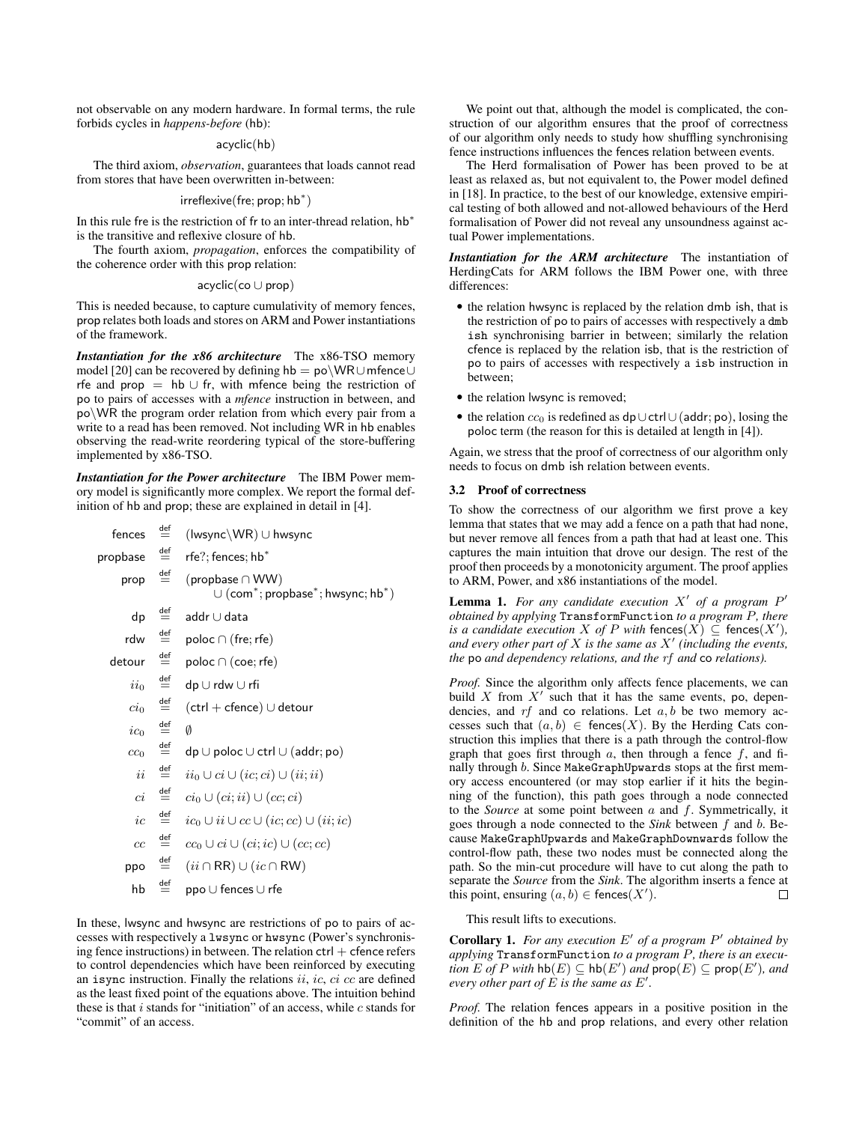not observable on any modern hardware. In formal terms, the rule forbids cycles in *happens-before* (hb):

## acyclic(hb)

The third axiom, *observation*, guarantees that loads cannot read from stores that have been overwritten in-between:

# irreflexive(fre; prop; hb<sup>∗</sup> )

In this rule fre is the restriction of fr to an inter-thread relation, hb<sup>\*</sup> is the transitive and reflexive closure of hb.

The fourth axiom, *propagation*, enforces the compatibility of the coherence order with this prop relation:

## acyclic(co ∪ prop)

This is needed because, to capture cumulativity of memory fences, prop relates both loads and stores on ARM and Power instantiations of the framework.

*Instantiation for the x86 architecture* The x86-TSO memory model [20] can be recovered by defining hb = po\WR∪mfence∪ rfe and prop  $=$  hb  $\cup$  fr, with mfence being the restriction of po to pairs of accesses with a *mfence* instruction in between, and po\WR the program order relation from which every pair from a write to a read has been removed. Not including WR in hb enables observing the read-write reordering typical of the store-buffering implemented by x86-TSO.

*Instantiation for the Power architecture* The IBM Power memory model is significantly more complex. We report the formal definition of hb and prop; these are explained in detail in [4].

| fences          | $\stackrel{\text{def}}{=}$ | $(lwsync\WR) \cup hwsync$                                                   |
|-----------------|----------------------------|-----------------------------------------------------------------------------|
| propbase        | $\stackrel{\text{def}}{=}$ | rfe?: fences: hb $\degree$                                                  |
| prop            | $\stackrel{\text{def}}{=}$ | (propbase $\cap$ WW)<br>$\cup$ (com $^*$ ; propbase $^*$ ; hwsync; hb $^*)$ |
| dp              | $\stackrel{\text{def}}{=}$ | addr∪data                                                                   |
| rdw             | $\stackrel{\text{def}}{=}$ | $\mathsf{poloc} \cap (\mathsf{fre}; \mathsf{rfe})$                          |
| detour          | $\stackrel{\text{def}}{=}$ | $\mathsf{poloc} \cap (\mathsf{coe}; \mathsf{rfe})$                          |
| $ii_0$          | $\stackrel{\text{def}}{=}$ | dp∪rdw∪rfi                                                                  |
| $ci_0$          | $\stackrel{\text{def}}{=}$ | $(\textsf{ctrl} + \textsf{cfence}) \cup \textsf{detour}$                    |
| $ic_0$          | $\stackrel{\text{def}}{=}$ | Ø                                                                           |
| cc <sub>0</sub> | $\stackrel{\text{def}}{=}$ | $dp \cup$ poloc $\cup$ ctrl $\cup$ (addr; po)                               |
| ii              | $\stackrel{\text{def}}{=}$ | $ii_0 \cup ci \cup (ic; ci) \cup (ii; ii)$                                  |
| сi              | $\stackrel{\text{def}}{=}$ | $ci_0 \cup (ci; ii) \cup (cc; ci)$                                          |
| ic              | $\stackrel{\text{def}}{=}$ | $ic_0 \cup ii \cup cc \cup (ic; cc) \cup (ii; ic)$                          |
| cc              | $\stackrel{\text{def}}{=}$ | $cc_0 \cup ci \cup (ci; ic) \cup (cc; cc)$                                  |
| ppo             | $\stackrel{\text{def}}{=}$ | $(ii \cap RR) \cup (ic \cap RW)$                                            |
| hb              | $\stackrel{\text{def}}{=}$ | $\mathsf{ppo} \cup \mathsf{fences} \cup \mathsf{rfe}$                       |

In these, lwsync and hwsync are restrictions of po to pairs of accesses with respectively a lwsync or hwsync (Power's synchronising fence instructions) in between. The relation  $ctrl +$  cfence refers to control dependencies which have been reinforced by executing an isync instruction. Finally the relations  $ii$ ,  $ic$ ,  $ci$   $cc$  are defined as the least fixed point of the equations above. The intuition behind these is that  $i$  stands for "initiation" of an access, while  $c$  stands for "commit" of an access.

We point out that, although the model is complicated, the construction of our algorithm ensures that the proof of correctness of our algorithm only needs to study how shuffling synchronising fence instructions influences the fences relation between events.

The Herd formalisation of Power has been proved to be at least as relaxed as, but not equivalent to, the Power model defined in [18]. In practice, to the best of our knowledge, extensive empirical testing of both allowed and not-allowed behaviours of the Herd formalisation of Power did not reveal any unsoundness against actual Power implementations.

*Instantiation for the ARM architecture* The instantiation of HerdingCats for ARM follows the IBM Power one, with three differences:

- the relation hwsync is replaced by the relation dmb ish, that is the restriction of po to pairs of accesses with respectively a dmb ish synchronising barrier in between; similarly the relation cfence is replaced by the relation isb, that is the restriction of po to pairs of accesses with respectively a isb instruction in between;
- the relation lwsync is removed;
- the relation  $cc_0$  is redefined as dp∪ctrl∪(addr; po), losing the poloc term (the reason for this is detailed at length in [4]).

Again, we stress that the proof of correctness of our algorithm only needs to focus on dmb ish relation between events.

# 3.2 Proof of correctness

To show the correctness of our algorithm we first prove a key lemma that states that we may add a fence on a path that had none, but never remove all fences from a path that had at least one. This captures the main intuition that drove our design. The rest of the proof then proceeds by a monotonicity argument. The proof applies to ARM, Power, and x86 instantiations of the model.

**Lemma 1.** For any candidate execution  $X'$  of a program  $P'$ *obtained by applying* TransformFunction *to a program* P*, there is a candidate execution*  $X$  *of*  $P$  *with* fences $(X) \subseteq$  fences $(X')$ , *and every other part of* X *is the same as* X 0 *(including the events, the* po *and dependency relations, and the* rf *and* co *relations).*

*Proof.* Since the algorithm only affects fence placements, we can build X from  $X'$  such that it has the same events, po, dependencies, and  $rf$  and co relations. Let  $a, b$  be two memory accesses such that  $(a, b) \in \text{fences}(X)$ . By the Herding Cats construction this implies that there is a path through the control-flow graph that goes first through  $a$ , then through a fence  $f$ , and finally through b. Since MakeGraphUpwards stops at the first memory access encountered (or may stop earlier if it hits the beginning of the function), this path goes through a node connected to the *Source* at some point between  $a$  and  $f$ . Symmetrically, it goes through a node connected to the *Sink* between f and b. Because MakeGraphUpwards and MakeGraphDownwards follow the control-flow path, these two nodes must be connected along the path. So the min-cut procedure will have to cut along the path to separate the *Source* from the *Sink*. The algorithm inserts a fence at this point, ensuring  $(a, b) \in \text{feences}(X')$ .  $\Box$ 

This result lifts to executions.

**Corollary 1.** For any execution  $E'$  of a program  $P'$  obtained by *applying* TransformFunction *to a program* P*, there is an execu-* $\overline{L}$  *tion*  $E$  *of*  $P$  *with*  $\text{hb}(E) \subseteq \text{hb}(E')$  *and*  $\text{prop}(E) \subseteq \text{prop}(E')$ *, and every other part of*  $\hat{E}$  *is the same as*  $E'$ .

*Proof.* The relation fences appears in a positive position in the definition of the hb and prop relations, and every other relation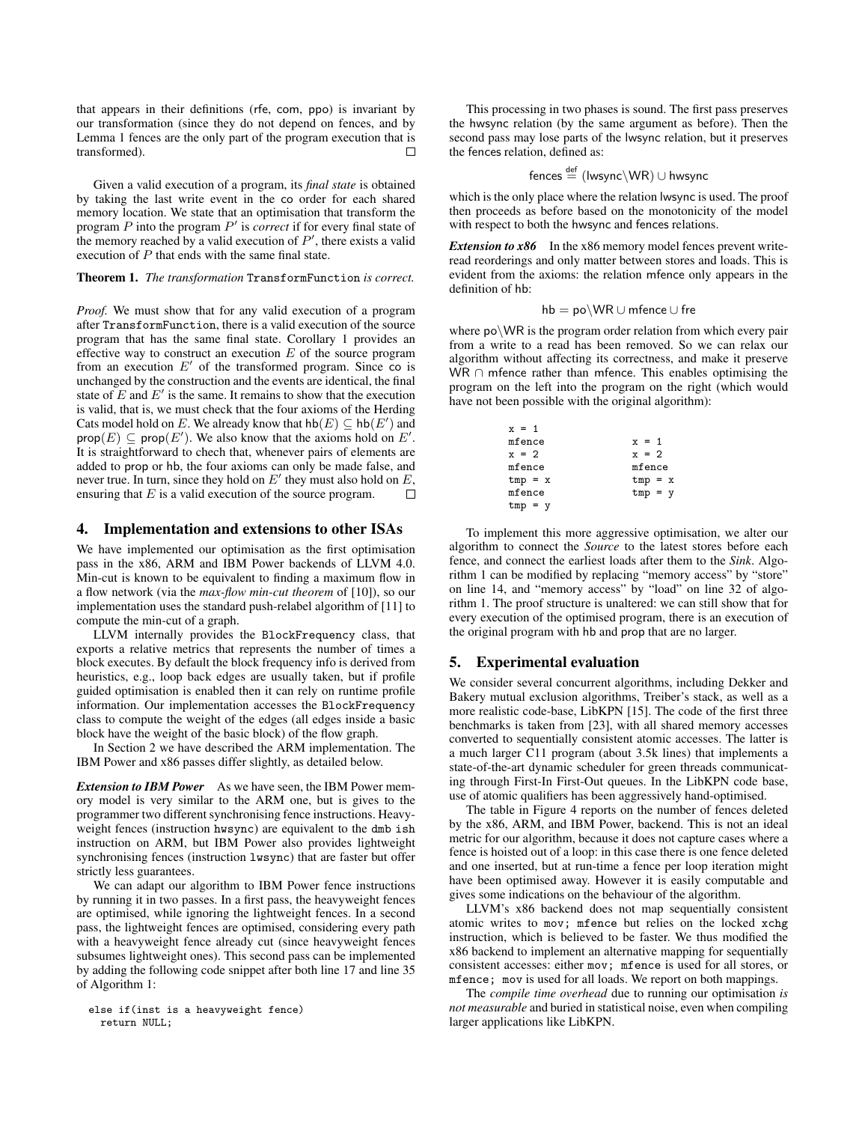that appears in their definitions (rfe, com, ppo) is invariant by our transformation (since they do not depend on fences, and by Lemma 1 fences are the only part of the program execution that is transformed).  $\Box$ 

Given a valid execution of a program, its *final state* is obtained by taking the last write event in the co order for each shared memory location. We state that an optimisation that transform the program  $P$  into the program  $P'$  is *correct* if for every final state of the memory reached by a valid execution of  $P'$ , there exists a valid execution of P that ends with the same final state.

## Theorem 1. *The transformation* TransformFunction *is correct.*

*Proof.* We must show that for any valid execution of a program after TransformFunction, there is a valid execution of the source program that has the same final state. Corollary 1 provides an effective way to construct an execution  $E$  of the source program from an execution  $E'$  of the transformed program. Since co is unchanged by the construction and the events are identical, the final state of  $E$  and  $E'$  is the same. It remains to show that the execution is valid, that is, we must check that the four axioms of the Herding Cats model hold on E. We already know that  $\text{hb}(E) \subseteq \text{hb}(E')$  and prop $(E) \subseteq \text{prop}(E')$ . We also know that the axioms hold on E'. It is straightforward to chech that, whenever pairs of elements are added to prop or hb, the four axioms can only be made false, and never true. In turn, since they hold on  $E'$  they must also hold on  $E$ , ensuring that  $E$  is a valid execution of the source program.

# 4. Implementation and extensions to other ISAs

We have implemented our optimisation as the first optimisation pass in the x86, ARM and IBM Power backends of LLVM 4.0. Min-cut is known to be equivalent to finding a maximum flow in a flow network (via the *max-flow min-cut theorem* of [10]), so our implementation uses the standard push-relabel algorithm of [11] to compute the min-cut of a graph.

LLVM internally provides the BlockFrequency class, that exports a relative metrics that represents the number of times a block executes. By default the block frequency info is derived from heuristics, e.g., loop back edges are usually taken, but if profile guided optimisation is enabled then it can rely on runtime profile information. Our implementation accesses the BlockFrequency class to compute the weight of the edges (all edges inside a basic block have the weight of the basic block) of the flow graph.

In Section 2 we have described the ARM implementation. The IBM Power and x86 passes differ slightly, as detailed below.

**Extension to IBM Power** As we have seen, the IBM Power memory model is very similar to the ARM one, but is gives to the programmer two different synchronising fence instructions. Heavyweight fences (instruction hwsync) are equivalent to the dmb ish instruction on ARM, but IBM Power also provides lightweight synchronising fences (instruction lwsync) that are faster but offer strictly less guarantees.

We can adapt our algorithm to IBM Power fence instructions by running it in two passes. In a first pass, the heavyweight fences are optimised, while ignoring the lightweight fences. In a second pass, the lightweight fences are optimised, considering every path with a heavyweight fence already cut (since heavyweight fences subsumes lightweight ones). This second pass can be implemented by adding the following code snippet after both line 17 and line 35 of Algorithm 1:

```
else if(inst is a heavyweight fence)
 return NULL;
```
This processing in two phases is sound. The first pass preserves the hwsync relation (by the same argument as before). Then the second pass may lose parts of the lwsync relation, but it preserves the fences relation, defined as:

$$
\mathsf{fences} \stackrel{\mathsf{def}}{=} (\mathsf{lwsync} \backslash \mathsf{WR}) \cup \mathsf{hwsync}
$$

which is the only place where the relation lwsync is used. The proof then proceeds as before based on the monotonicity of the model with respect to both the hwsync and fences relations.

*Extension to x86* In the x86 memory model fences prevent writeread reorderings and only matter between stores and loads. This is evident from the axioms: the relation mfence only appears in the definition of hb:

$$
\mathsf{hb} = \mathsf{po} \backslash \mathsf{WR} \cup \mathsf{mfence} \cup \mathsf{fre}
$$

where po\WR is the program order relation from which every pair from a write to a read has been removed. So we can relax our algorithm without affecting its correctness, and make it preserve WR ∩ mfence rather than mfence. This enables optimising the program on the left into the program on the right (which would have not been possible with the original algorithm):

| $x = 1$   |           |
|-----------|-----------|
| mfence    | $x = 1$   |
| $x = 2$   | $x = 2$   |
| mfence    | mfence    |
| $tmp = x$ | $tmp = x$ |
| mfence    | $tmp = y$ |
| $tmp = y$ |           |

To implement this more aggressive optimisation, we alter our algorithm to connect the *Source* to the latest stores before each fence, and connect the earliest loads after them to the *Sink*. Algorithm 1 can be modified by replacing "memory access" by "store" on line 14, and "memory access" by "load" on line 32 of algorithm 1. The proof structure is unaltered: we can still show that for every execution of the optimised program, there is an execution of the original program with hb and prop that are no larger.

# 5. Experimental evaluation

We consider several concurrent algorithms, including Dekker and Bakery mutual exclusion algorithms, Treiber's stack, as well as a more realistic code-base, LibKPN [15]. The code of the first three benchmarks is taken from [23], with all shared memory accesses converted to sequentially consistent atomic accesses. The latter is a much larger C11 program (about 3.5k lines) that implements a state-of-the-art dynamic scheduler for green threads communicating through First-In First-Out queues. In the LibKPN code base, use of atomic qualifiers has been aggressively hand-optimised.

The table in Figure 4 reports on the number of fences deleted by the x86, ARM, and IBM Power, backend. This is not an ideal metric for our algorithm, because it does not capture cases where a fence is hoisted out of a loop: in this case there is one fence deleted and one inserted, but at run-time a fence per loop iteration might have been optimised away. However it is easily computable and gives some indications on the behaviour of the algorithm.

LLVM's x86 backend does not map sequentially consistent atomic writes to mov; mfence but relies on the locked xchg instruction, which is believed to be faster. We thus modified the x86 backend to implement an alternative mapping for sequentially consistent accesses: either mov; mfence is used for all stores, or mfence; mov is used for all loads. We report on both mappings.

The *compile time overhead* due to running our optimisation *is not measurable* and buried in statistical noise, even when compiling larger applications like LibKPN.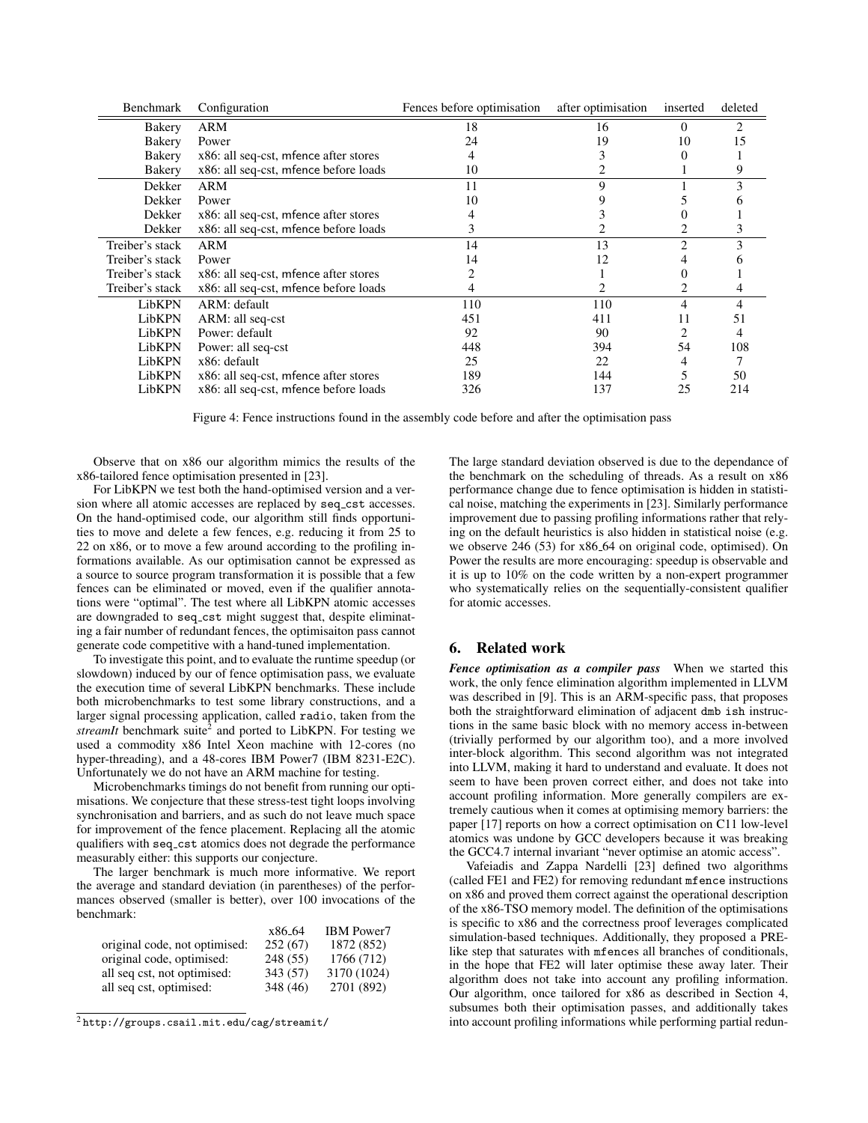| Benchmark       | Configuration                         | Fences before optimisation | after optimisation | inserted | deleted |
|-----------------|---------------------------------------|----------------------------|--------------------|----------|---------|
| Bakery          | ARM                                   | 18                         | 16                 | 0        | 2       |
| Bakery          | Power                                 | 24                         | 19                 | 10       | 15      |
| Bakery          | x86: all seq-cst, mfence after stores |                            |                    |          |         |
| Bakery          | x86: all seq-cst, mfence before loads | 10                         |                    |          |         |
| Dekker          | ARM                                   | 11                         | 9                  |          |         |
| Dekker          | Power                                 | 10                         |                    |          |         |
| Dekker          | x86: all seq-cst, mfence after stores |                            |                    |          |         |
| Dekker          | x86: all seq-cst, mfence before loads | 3                          |                    |          |         |
| Treiber's stack | ARM                                   | 14                         | 13                 |          |         |
| Treiber's stack | Power                                 | 14                         | 12                 |          |         |
| Treiber's stack | x86: all seq-cst, mfence after stores |                            |                    |          |         |
| Treiber's stack | x86: all seq-cst, mfence before loads |                            |                    |          |         |
| LibKPN          | ARM: default                          | 110                        | 110                | 4        | 4       |
| LibKPN          | ARM: all seq-cst                      | 451                        | 411                | 11       | 51      |
| LibKPN          | Power: default                        | 92                         | 90                 |          | 4       |
| LibKPN          | Power: all seq-cst                    | 448                        | 394                | 54       | 108     |
| LibKPN          | x86: default                          | 25                         | 22                 |          |         |
| LibKPN          | x86: all seq-cst, mfence after stores | 189                        | 144                |          | 50      |
| LibKPN          | x86: all seq-cst, mfence before loads | 326                        | 137                | 25       | 214     |

Figure 4: Fence instructions found in the assembly code before and after the optimisation pass

Observe that on x86 our algorithm mimics the results of the x86-tailored fence optimisation presented in [23].

For LibKPN we test both the hand-optimised version and a version where all atomic accesses are replaced by seq\_cst accesses. On the hand-optimised code, our algorithm still finds opportunities to move and delete a few fences, e.g. reducing it from 25 to 22 on x86, or to move a few around according to the profiling informations available. As our optimisation cannot be expressed as a source to source program transformation it is possible that a few fences can be eliminated or moved, even if the qualifier annotations were "optimal". The test where all LibKPN atomic accesses are downgraded to seq cst might suggest that, despite eliminating a fair number of redundant fences, the optimisaiton pass cannot generate code competitive with a hand-tuned implementation.

To investigate this point, and to evaluate the runtime speedup (or slowdown) induced by our of fence optimisation pass, we evaluate the execution time of several LibKPN benchmarks. These include both microbenchmarks to test some library constructions, and a larger signal processing application, called radio, taken from the streamIt benchmark suite<sup>2</sup> and ported to LibKPN. For testing we used a commodity x86 Intel Xeon machine with 12-cores (no hyper-threading), and a 48-cores IBM Power7 (IBM 8231-E2C). Unfortunately we do not have an ARM machine for testing.

Microbenchmarks timings do not benefit from running our optimisations. We conjecture that these stress-test tight loops involving synchronisation and barriers, and as such do not leave much space for improvement of the fence placement. Replacing all the atomic qualifiers with seq cst atomics does not degrade the performance measurably either: this supports our conjecture.

The larger benchmark is much more informative. We report the average and standard deviation (in parentheses) of the performances observed (smaller is better), over 100 invocations of the benchmark:

|                               | x86_64   | <b>IBM</b> Power7 |
|-------------------------------|----------|-------------------|
| original code, not optimised: | 252(67)  | 1872 (852)        |
| original code, optimised:     | 248 (55) | 1766 (712)        |
| all seq cst, not optimised:   | 343 (57) | 3170 (1024)       |
| all seq cst, optimised:       | 348 (46) | 2701 (892)        |
|                               |          |                   |

 $2$ http://groups.csail.mit.edu/cag/streamit/

The large standard deviation observed is due to the dependance of the benchmark on the scheduling of threads. As a result on x86 performance change due to fence optimisation is hidden in statistical noise, matching the experiments in [23]. Similarly performance improvement due to passing profiling informations rather that relying on the default heuristics is also hidden in statistical noise (e.g. we observe 246 (53) for x86<sub>-64</sub> on original code, optimised). On Power the results are more encouraging: speedup is observable and it is up to 10% on the code written by a non-expert programmer who systematically relies on the sequentially-consistent qualifier for atomic accesses.

# 6. Related work

*Fence optimisation as a compiler pass* When we started this work, the only fence elimination algorithm implemented in LLVM was described in [9]. This is an ARM-specific pass, that proposes both the straightforward elimination of adjacent dmb ish instructions in the same basic block with no memory access in-between (trivially performed by our algorithm too), and a more involved inter-block algorithm. This second algorithm was not integrated into LLVM, making it hard to understand and evaluate. It does not seem to have been proven correct either, and does not take into account profiling information. More generally compilers are extremely cautious when it comes at optimising memory barriers: the paper [17] reports on how a correct optimisation on C11 low-level atomics was undone by GCC developers because it was breaking the GCC4.7 internal invariant "never optimise an atomic access".

Vafeiadis and Zappa Nardelli [23] defined two algorithms (called FE1 and FE2) for removing redundant mfence instructions on x86 and proved them correct against the operational description of the x86-TSO memory model. The definition of the optimisations is specific to x86 and the correctness proof leverages complicated simulation-based techniques. Additionally, they proposed a PRElike step that saturates with mfences all branches of conditionals, in the hope that FE2 will later optimise these away later. Their algorithm does not take into account any profiling information. Our algorithm, once tailored for x86 as described in Section 4, subsumes both their optimisation passes, and additionally takes into account profiling informations while performing partial redun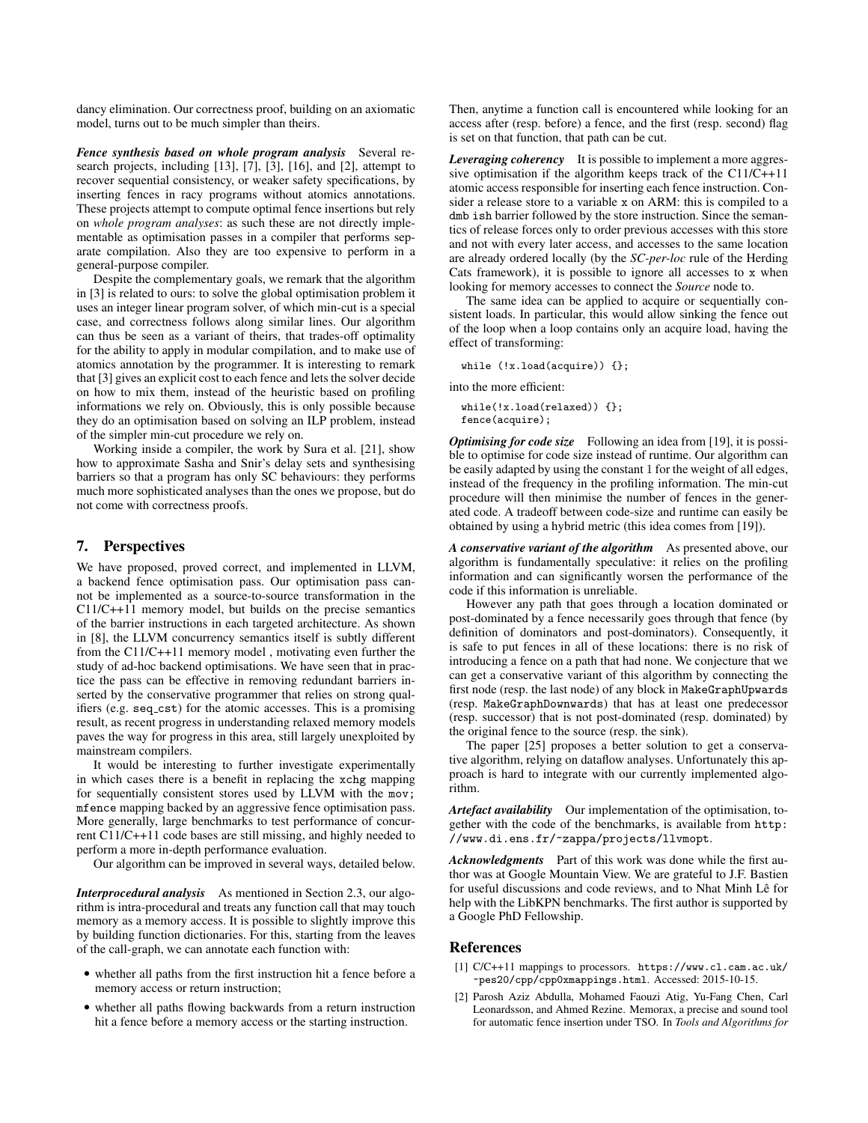dancy elimination. Our correctness proof, building on an axiomatic model, turns out to be much simpler than theirs.

*Fence synthesis based on whole program analysis* Several research projects, including [13], [7], [3], [16], and [2], attempt to recover sequential consistency, or weaker safety specifications, by inserting fences in racy programs without atomics annotations. These projects attempt to compute optimal fence insertions but rely on *whole program analyses*: as such these are not directly implementable as optimisation passes in a compiler that performs separate compilation. Also they are too expensive to perform in a general-purpose compiler.

Despite the complementary goals, we remark that the algorithm in [3] is related to ours: to solve the global optimisation problem it uses an integer linear program solver, of which min-cut is a special case, and correctness follows along similar lines. Our algorithm can thus be seen as a variant of theirs, that trades-off optimality for the ability to apply in modular compilation, and to make use of atomics annotation by the programmer. It is interesting to remark that [3] gives an explicit cost to each fence and lets the solver decide on how to mix them, instead of the heuristic based on profiling informations we rely on. Obviously, this is only possible because they do an optimisation based on solving an ILP problem, instead of the simpler min-cut procedure we rely on.

Working inside a compiler, the work by Sura et al. [21], show how to approximate Sasha and Snir's delay sets and synthesising barriers so that a program has only SC behaviours: they performs much more sophisticated analyses than the ones we propose, but do not come with correctness proofs.

# 7. Perspectives

We have proposed, proved correct, and implemented in LLVM, a backend fence optimisation pass. Our optimisation pass cannot be implemented as a source-to-source transformation in the C11/C++11 memory model, but builds on the precise semantics of the barrier instructions in each targeted architecture. As shown in [8], the LLVM concurrency semantics itself is subtly different from the C11/C++11 memory model , motivating even further the study of ad-hoc backend optimisations. We have seen that in practice the pass can be effective in removing redundant barriers inserted by the conservative programmer that relies on strong qualifiers (e.g. seq\_cst) for the atomic accesses. This is a promising result, as recent progress in understanding relaxed memory models paves the way for progress in this area, still largely unexploited by mainstream compilers.

It would be interesting to further investigate experimentally in which cases there is a benefit in replacing the xchg mapping for sequentially consistent stores used by LLVM with the mov; mfence mapping backed by an aggressive fence optimisation pass. More generally, large benchmarks to test performance of concurrent C11/C++11 code bases are still missing, and highly needed to perform a more in-depth performance evaluation.

Our algorithm can be improved in several ways, detailed below.

*Interprocedural analysis* As mentioned in Section 2.3, our algorithm is intra-procedural and treats any function call that may touch memory as a memory access. It is possible to slightly improve this by building function dictionaries. For this, starting from the leaves of the call-graph, we can annotate each function with:

- whether all paths from the first instruction hit a fence before a memory access or return instruction;
- whether all paths flowing backwards from a return instruction hit a fence before a memory access or the starting instruction.

Then, anytime a function call is encountered while looking for an access after (resp. before) a fence, and the first (resp. second) flag is set on that function, that path can be cut.

*Leveraging coherency* It is possible to implement a more aggressive optimisation if the algorithm keeps track of the C11/C++11 atomic access responsible for inserting each fence instruction. Consider a release store to a variable x on ARM: this is compiled to a dmb ish barrier followed by the store instruction. Since the semantics of release forces only to order previous accesses with this store and not with every later access, and accesses to the same location are already ordered locally (by the *SC-per-loc* rule of the Herding Cats framework), it is possible to ignore all accesses to x when looking for memory accesses to connect the *Source* node to.

The same idea can be applied to acquire or sequentially consistent loads. In particular, this would allow sinking the fence out of the loop when a loop contains only an acquire load, having the effect of transforming:

while (!x.load(acquire)) {};

into the more efficient:

while(!x.load(relaxed)) {}; fence(acquire);

*Optimising for code size* Following an idea from [19], it is possible to optimise for code size instead of runtime. Our algorithm can be easily adapted by using the constant 1 for the weight of all edges, instead of the frequency in the profiling information. The min-cut procedure will then minimise the number of fences in the generated code. A tradeoff between code-size and runtime can easily be obtained by using a hybrid metric (this idea comes from [19]).

*A conservative variant of the algorithm* As presented above, our algorithm is fundamentally speculative: it relies on the profiling information and can significantly worsen the performance of the code if this information is unreliable.

However any path that goes through a location dominated or post-dominated by a fence necessarily goes through that fence (by definition of dominators and post-dominators). Consequently, it is safe to put fences in all of these locations: there is no risk of introducing a fence on a path that had none. We conjecture that we can get a conservative variant of this algorithm by connecting the first node (resp. the last node) of any block in MakeGraphUpwards (resp. MakeGraphDownwards) that has at least one predecessor (resp. successor) that is not post-dominated (resp. dominated) by the original fence to the source (resp. the sink).

The paper [25] proposes a better solution to get a conservative algorithm, relying on dataflow analyses. Unfortunately this approach is hard to integrate with our currently implemented algorithm.

*Artefact availability* Our implementation of the optimisation, together with the code of the benchmarks, is available from http: //www.di.ens.fr/~zappa/projects/llvmopt.

*Acknowledgments* Part of this work was done while the first author was at Google Mountain View. We are grateful to J.F. Bastien for useful discussions and code reviews, and to Nhat Minh Lê for help with the LibKPN benchmarks. The first author is supported by a Google PhD Fellowship.

# References

- [1] C/C++11 mappings to processors. https://www.cl.cam.ac.uk/ ~pes20/cpp/cpp0xmappings.html. Accessed: 2015-10-15.
- Parosh Aziz Abdulla, Mohamed Faouzi Atig, Yu-Fang Chen, Carl Leonardsson, and Ahmed Rezine. Memorax, a precise and sound tool for automatic fence insertion under TSO. In *Tools and Algorithms for*